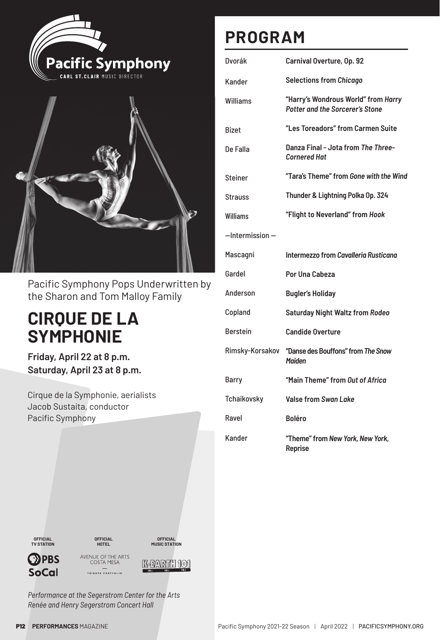



Pacific Symphony Pops Underwritten by the Sharon and Tom Malloy Family

## **CIRQUE DE LA SYMPHONIE**

**Friday, April 22 at 8 p.m. Saturday, April 23 at 8 p.m.** 

Cirque de la Symphonie, aerialists Jacob Sustaita, conductor Pacific Symphony

## **PROGRAM**

| Dvorák               | Carnival Overture, Op. 92                                                     |
|----------------------|-------------------------------------------------------------------------------|
| Kander               | <b>Selections from Chicago</b>                                                |
| Williams             | "Harry's Wondrous World" from Harry<br><b>Potter and the Sorcerer's Stone</b> |
| <b>Bizet</b>         | "Les Toreadors" from Carmen Suite                                             |
| De Falla             | Danza Final - Jota from The Three-<br><b>Cornered Hat</b>                     |
| <b>Steiner</b>       | "Tara's Theme" from Gone with the Wind                                        |
| Strauss              | Thunder & Lightning Polka Op. 324                                             |
| Williams             | "Flight to Neverland" from Hook                                               |
| $-$ Intermission $-$ |                                                                               |
| Mascagni             | Intermezzo from Cavalleria Rusticana                                          |
| Gardel               | Por Una Cabeza                                                                |
| Anderson             | <b>Bugler's Holiday</b>                                                       |
| Copland              | <b>Saturday Night Waltz from Rodeo</b>                                        |
| <b>Berstein</b>      | <b>Candide Overture</b>                                                       |
| Rimsky-Korsakov      | "Danse des Bouffons" from The Snow<br><b>Maiden</b>                           |
| Barry                | "Main Theme" from Out of Africa                                               |
| Tchaikovsky          | Valse from Swan Lake                                                          |
| Ravel                | <b>Boléro</b>                                                                 |
| Kander               | "Theme" from New York, New York,<br>Reprise                                   |



**SoCal** 

**OPBS** 

**OFFICIAL HOTEL** AVENUE OF THE ARTS<br>COSTA MESA

 $\overbrace{\text{triluute portfolio}}$ 



K-EARTH 101

*Performance at the Segerstrom Center for the Arts Renée and Henry Segerstrom Concert Hall*